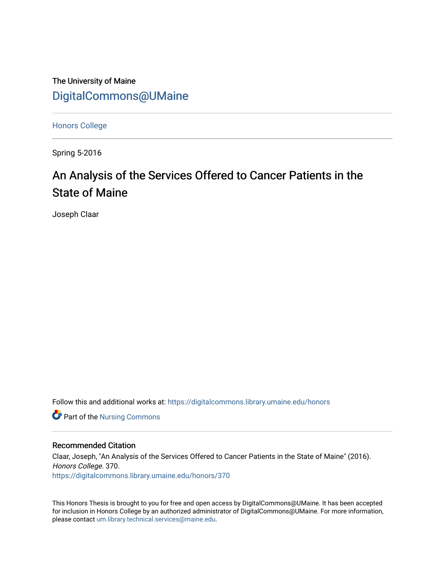The University of Maine [DigitalCommons@UMaine](https://digitalcommons.library.umaine.edu/)

[Honors College](https://digitalcommons.library.umaine.edu/honors)

Spring 5-2016

# An Analysis of the Services Offered to Cancer Patients in the State of Maine

Joseph Claar

Follow this and additional works at: [https://digitalcommons.library.umaine.edu/honors](https://digitalcommons.library.umaine.edu/honors?utm_source=digitalcommons.library.umaine.edu%2Fhonors%2F370&utm_medium=PDF&utm_campaign=PDFCoverPages) 

Part of the [Nursing Commons](http://network.bepress.com/hgg/discipline/718?utm_source=digitalcommons.library.umaine.edu%2Fhonors%2F370&utm_medium=PDF&utm_campaign=PDFCoverPages) 

#### Recommended Citation

Claar, Joseph, "An Analysis of the Services Offered to Cancer Patients in the State of Maine" (2016). Honors College. 370. [https://digitalcommons.library.umaine.edu/honors/370](https://digitalcommons.library.umaine.edu/honors/370?utm_source=digitalcommons.library.umaine.edu%2Fhonors%2F370&utm_medium=PDF&utm_campaign=PDFCoverPages) 

This Honors Thesis is brought to you for free and open access by DigitalCommons@UMaine. It has been accepted for inclusion in Honors College by an authorized administrator of DigitalCommons@UMaine. For more information, please contact [um.library.technical.services@maine.edu.](mailto:um.library.technical.services@maine.edu)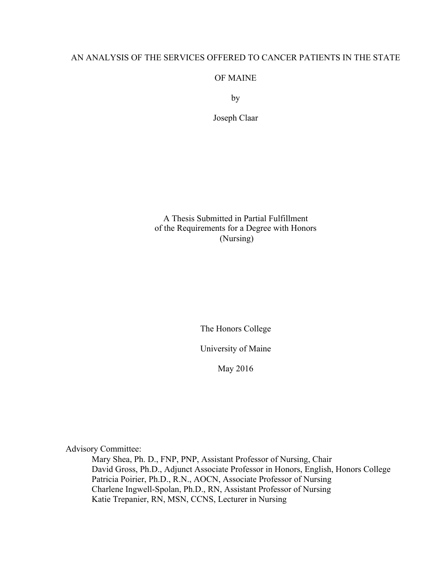# AN ANALYSIS OF THE SERVICES OFFERED TO CANCER PATIENTS IN THE STATE

# OF MAINE

by

Joseph Claar

A Thesis Submitted in Partial Fulfillment of the Requirements for a Degree with Honors (Nursing)

The Honors College

University of Maine

May 2016

Advisory Committee:

Mary Shea, Ph. D., FNP, PNP, Assistant Professor of Nursing, Chair David Gross, Ph.D., Adjunct Associate Professor in Honors, English, Honors College Patricia Poirier, Ph.D., R.N., AOCN, Associate Professor of Nursing Charlene Ingwell-Spolan, Ph.D., RN, Assistant Professor of Nursing Katie Trepanier, RN, MSN, CCNS, Lecturer in Nursing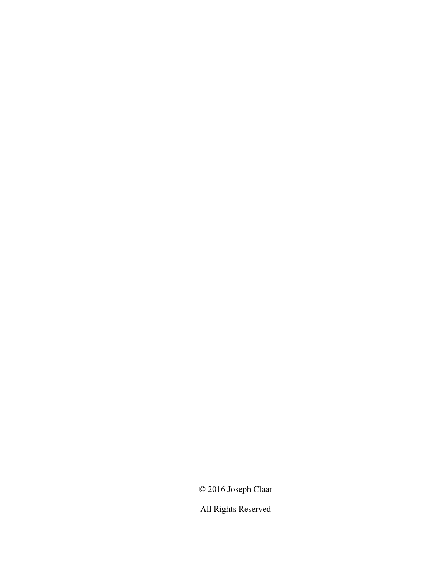© 2016 Joseph Claar

All Rights Reserved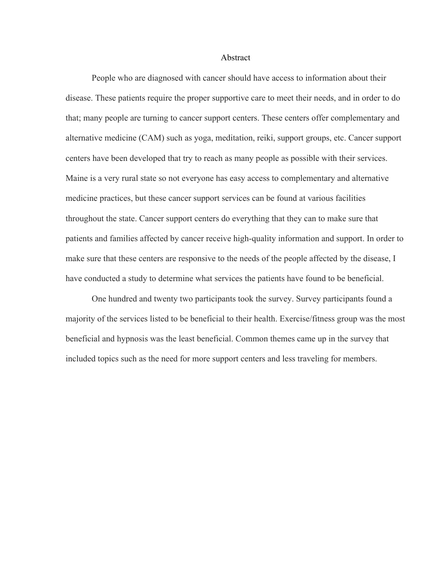#### Abstract

People who are diagnosed with cancer should have access to information about their disease. These patients require the proper supportive care to meet their needs, and in order to do that; many people are turning to cancer support centers. These centers offer complementary and alternative medicine (CAM) such as yoga, meditation, reiki, support groups, etc. Cancer support centers have been developed that try to reach as many people as possible with their services. Maine is a very rural state so not everyone has easy access to complementary and alternative medicine practices, but these cancer support services can be found at various facilities throughout the state. Cancer support centers do everything that they can to make sure that patients and families affected by cancer receive high-quality information and support. In order to make sure that these centers are responsive to the needs of the people affected by the disease, I have conducted a study to determine what services the patients have found to be beneficial.

One hundred and twenty two participants took the survey. Survey participants found a majority of the services listed to be beneficial to their health. Exercise/fitness group was the most beneficial and hypnosis was the least beneficial. Common themes came up in the survey that included topics such as the need for more support centers and less traveling for members.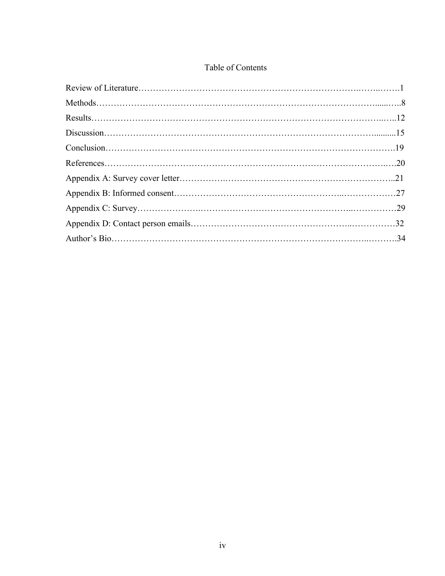# Table of Contents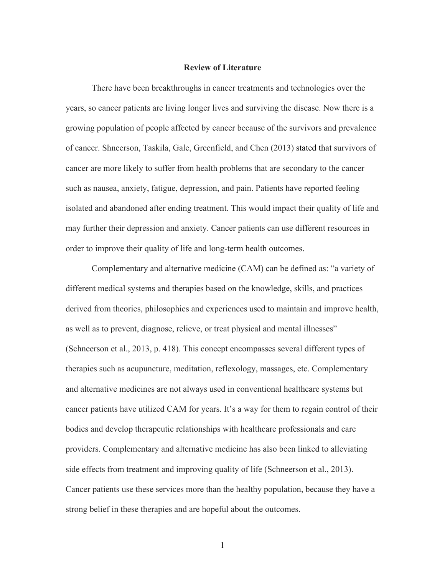#### **Review of Literature**

There have been breakthroughs in cancer treatments and technologies over the years, so cancer patients are living longer lives and surviving the disease. Now there is a growing population of people affected by cancer because of the survivors and prevalence of cancer. Shneerson, Taskila, Gale, Greenfield, and Chen (2013) stated that survivors of cancer are more likely to suffer from health problems that are secondary to the cancer such as nausea, anxiety, fatigue, depression, and pain. Patients have reported feeling isolated and abandoned after ending treatment. This would impact their quality of life and may further their depression and anxiety. Cancer patients can use different resources in order to improve their quality of life and long-term health outcomes.

Complementary and alternative medicine (CAM) can be defined as: "a variety of different medical systems and therapies based on the knowledge, skills, and practices derived from theories, philosophies and experiences used to maintain and improve health, as well as to prevent, diagnose, relieve, or treat physical and mental illnesses" (Schneerson et al., 2013, p. 418). This concept encompasses several different types of therapies such as acupuncture, meditation, reflexology, massages, etc. Complementary and alternative medicines are not always used in conventional healthcare systems but cancer patients have utilized CAM for years. It's a way for them to regain control of their bodies and develop therapeutic relationships with healthcare professionals and care providers. Complementary and alternative medicine has also been linked to alleviating side effects from treatment and improving quality of life (Schneerson et al., 2013). Cancer patients use these services more than the healthy population, because they have a strong belief in these therapies and are hopeful about the outcomes.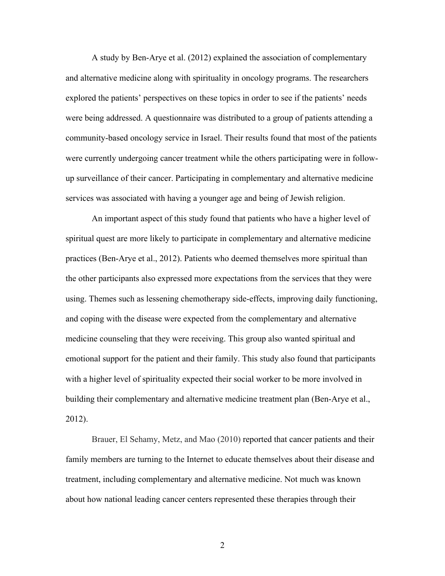A study by Ben-Arye et al. (2012) explained the association of complementary and alternative medicine along with spirituality in oncology programs. The researchers explored the patients' perspectives on these topics in order to see if the patients' needs were being addressed. A questionnaire was distributed to a group of patients attending a community-based oncology service in Israel. Their results found that most of the patients were currently undergoing cancer treatment while the others participating were in followup surveillance of their cancer. Participating in complementary and alternative medicine services was associated with having a younger age and being of Jewish religion.

An important aspect of this study found that patients who have a higher level of spiritual quest are more likely to participate in complementary and alternative medicine practices (Ben-Arye et al., 2012). Patients who deemed themselves more spiritual than the other participants also expressed more expectations from the services that they were using. Themes such as lessening chemotherapy side-effects, improving daily functioning, and coping with the disease were expected from the complementary and alternative medicine counseling that they were receiving. This group also wanted spiritual and emotional support for the patient and their family. This study also found that participants with a higher level of spirituality expected their social worker to be more involved in building their complementary and alternative medicine treatment plan (Ben-Arye et al., 2012).

Brauer, El Sehamy, Metz, and Mao (2010) reported that cancer patients and their family members are turning to the Internet to educate themselves about their disease and treatment, including complementary and alternative medicine. Not much was known about how national leading cancer centers represented these therapies through their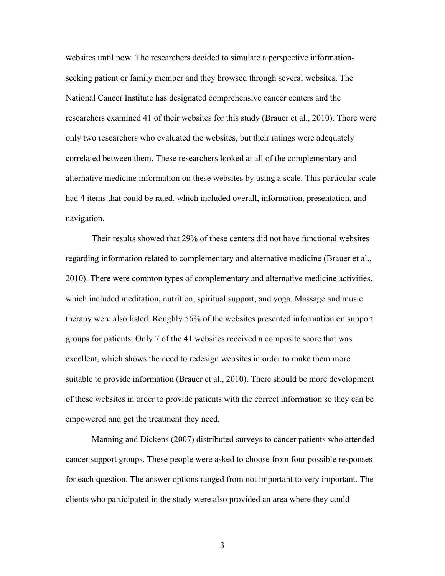websites until now. The researchers decided to simulate a perspective informationseeking patient or family member and they browsed through several websites. The National Cancer Institute has designated comprehensive cancer centers and the researchers examined 41 of their websites for this study (Brauer et al., 2010). There were only two researchers who evaluated the websites, but their ratings were adequately correlated between them. These researchers looked at all of the complementary and alternative medicine information on these websites by using a scale. This particular scale had 4 items that could be rated, which included overall, information, presentation, and navigation.

Their results showed that 29% of these centers did not have functional websites regarding information related to complementary and alternative medicine (Brauer et al., 2010). There were common types of complementary and alternative medicine activities, which included meditation, nutrition, spiritual support, and yoga. Massage and music therapy were also listed. Roughly 56% of the websites presented information on support groups for patients. Only 7 of the 41 websites received a composite score that was excellent, which shows the need to redesign websites in order to make them more suitable to provide information (Brauer et al., 2010). There should be more development of these websites in order to provide patients with the correct information so they can be empowered and get the treatment they need.

Manning and Dickens (2007) distributed surveys to cancer patients who attended cancer support groups. These people were asked to choose from four possible responses for each question. The answer options ranged from not important to very important. The clients who participated in the study were also provided an area where they could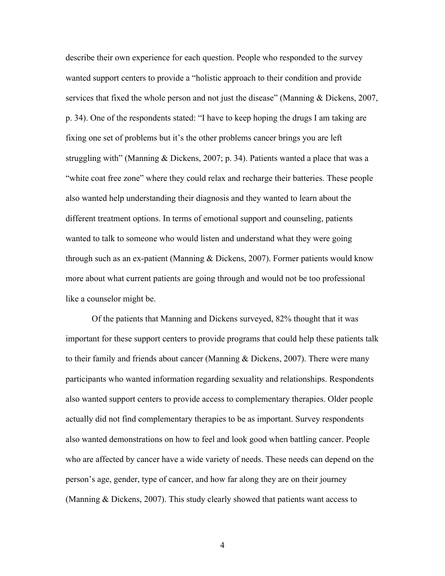describe their own experience for each question. People who responded to the survey wanted support centers to provide a "holistic approach to their condition and provide services that fixed the whole person and not just the disease" (Manning & Dickens, 2007, p. 34). One of the respondents stated: "I have to keep hoping the drugs I am taking are fixing one set of problems but it's the other problems cancer brings you are left struggling with" (Manning & Dickens, 2007; p. 34). Patients wanted a place that was a "white coat free zone" where they could relax and recharge their batteries. These people also wanted help understanding their diagnosis and they wanted to learn about the different treatment options. In terms of emotional support and counseling, patients wanted to talk to someone who would listen and understand what they were going through such as an ex-patient (Manning & Dickens, 2007). Former patients would know more about what current patients are going through and would not be too professional like a counselor might be.

Of the patients that Manning and Dickens surveyed, 82% thought that it was important for these support centers to provide programs that could help these patients talk to their family and friends about cancer (Manning & Dickens, 2007). There were many participants who wanted information regarding sexuality and relationships. Respondents also wanted support centers to provide access to complementary therapies. Older people actually did not find complementary therapies to be as important. Survey respondents also wanted demonstrations on how to feel and look good when battling cancer. People who are affected by cancer have a wide variety of needs. These needs can depend on the person's age, gender, type of cancer, and how far along they are on their journey (Manning & Dickens, 2007). This study clearly showed that patients want access to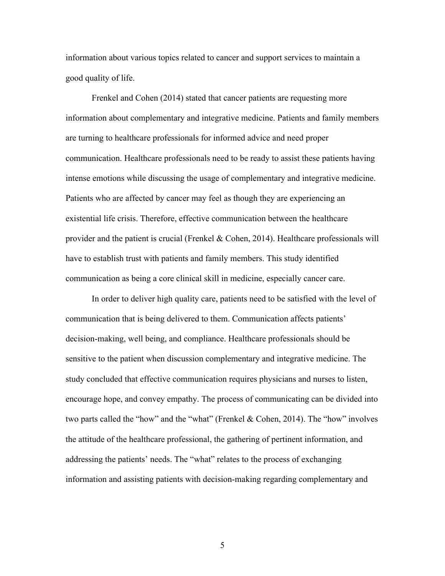information about various topics related to cancer and support services to maintain a good quality of life.

Frenkel and Cohen (2014) stated that cancer patients are requesting more information about complementary and integrative medicine. Patients and family members are turning to healthcare professionals for informed advice and need proper communication. Healthcare professionals need to be ready to assist these patients having intense emotions while discussing the usage of complementary and integrative medicine. Patients who are affected by cancer may feel as though they are experiencing an existential life crisis. Therefore, effective communication between the healthcare provider and the patient is crucial (Frenkel & Cohen, 2014). Healthcare professionals will have to establish trust with patients and family members. This study identified communication as being a core clinical skill in medicine, especially cancer care.

In order to deliver high quality care, patients need to be satisfied with the level of communication that is being delivered to them. Communication affects patients' decision-making, well being, and compliance. Healthcare professionals should be sensitive to the patient when discussion complementary and integrative medicine. The study concluded that effective communication requires physicians and nurses to listen, encourage hope, and convey empathy. The process of communicating can be divided into two parts called the "how" and the "what" (Frenkel & Cohen, 2014). The "how" involves the attitude of the healthcare professional, the gathering of pertinent information, and addressing the patients' needs. The "what" relates to the process of exchanging information and assisting patients with decision-making regarding complementary and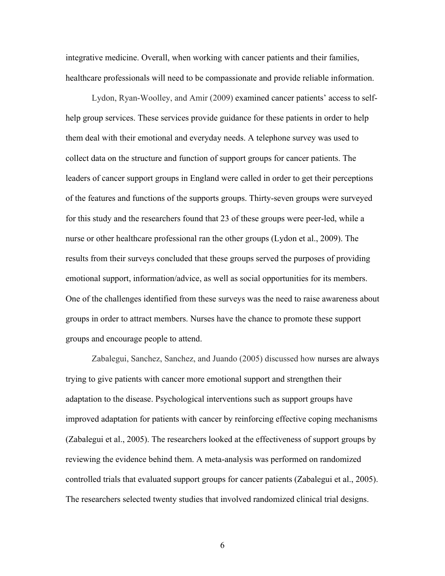integrative medicine. Overall, when working with cancer patients and their families, healthcare professionals will need to be compassionate and provide reliable information.

Lydon, Ryan-Woolley, and Amir (2009) examined cancer patients' access to selfhelp group services. These services provide guidance for these patients in order to help them deal with their emotional and everyday needs. A telephone survey was used to collect data on the structure and function of support groups for cancer patients. The leaders of cancer support groups in England were called in order to get their perceptions of the features and functions of the supports groups. Thirty-seven groups were surveyed for this study and the researchers found that 23 of these groups were peer-led, while a nurse or other healthcare professional ran the other groups (Lydon et al., 2009). The results from their surveys concluded that these groups served the purposes of providing emotional support, information/advice, as well as social opportunities for its members. One of the challenges identified from these surveys was the need to raise awareness about groups in order to attract members. Nurses have the chance to promote these support groups and encourage people to attend.

Zabalegui, Sanchez, Sanchez, and Juando (2005) discussed how nurses are always trying to give patients with cancer more emotional support and strengthen their adaptation to the disease. Psychological interventions such as support groups have improved adaptation for patients with cancer by reinforcing effective coping mechanisms (Zabalegui et al., 2005). The researchers looked at the effectiveness of support groups by reviewing the evidence behind them. A meta-analysis was performed on randomized controlled trials that evaluated support groups for cancer patients (Zabalegui et al., 2005). The researchers selected twenty studies that involved randomized clinical trial designs.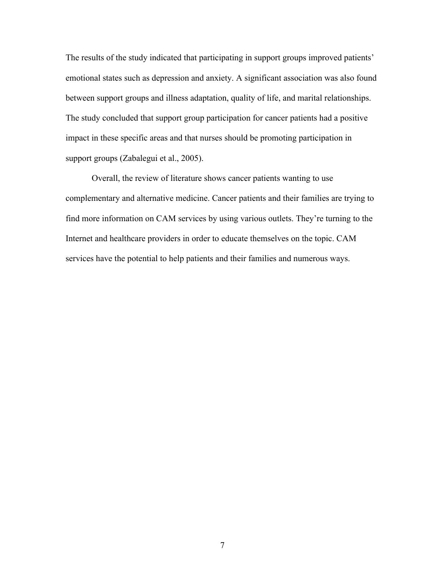The results of the study indicated that participating in support groups improved patients' emotional states such as depression and anxiety. A significant association was also found between support groups and illness adaptation, quality of life, and marital relationships. The study concluded that support group participation for cancer patients had a positive impact in these specific areas and that nurses should be promoting participation in support groups (Zabalegui et al., 2005).

Overall, the review of literature shows cancer patients wanting to use complementary and alternative medicine. Cancer patients and their families are trying to find more information on CAM services by using various outlets. They're turning to the Internet and healthcare providers in order to educate themselves on the topic. CAM services have the potential to help patients and their families and numerous ways.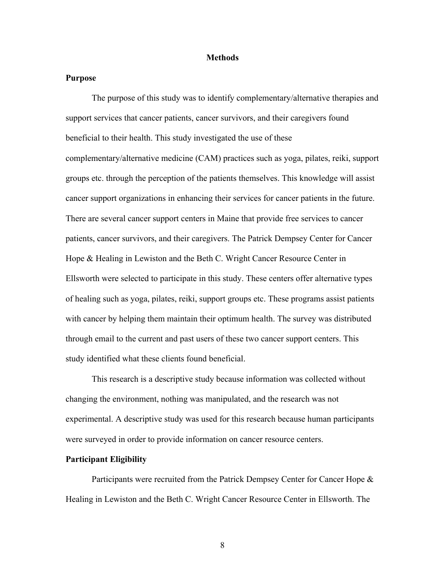#### **Methods**

#### **Purpose**

The purpose of this study was to identify complementary/alternative therapies and support services that cancer patients, cancer survivors, and their caregivers found beneficial to their health. This study investigated the use of these complementary/alternative medicine (CAM) practices such as yoga, pilates, reiki, support groups etc. through the perception of the patients themselves. This knowledge will assist cancer support organizations in enhancing their services for cancer patients in the future. There are several cancer support centers in Maine that provide free services to cancer patients, cancer survivors, and their caregivers. The Patrick Dempsey Center for Cancer Hope & Healing in Lewiston and the Beth C. Wright Cancer Resource Center in Ellsworth were selected to participate in this study. These centers offer alternative types of healing such as yoga, pilates, reiki, support groups etc. These programs assist patients with cancer by helping them maintain their optimum health. The survey was distributed through email to the current and past users of these two cancer support centers. This study identified what these clients found beneficial.

This research is a descriptive study because information was collected without changing the environment, nothing was manipulated, and the research was not experimental. A descriptive study was used for this research because human participants were surveyed in order to provide information on cancer resource centers.

#### **Participant Eligibility**

Participants were recruited from the Patrick Dempsey Center for Cancer Hope & Healing in Lewiston and the Beth C. Wright Cancer Resource Center in Ellsworth. The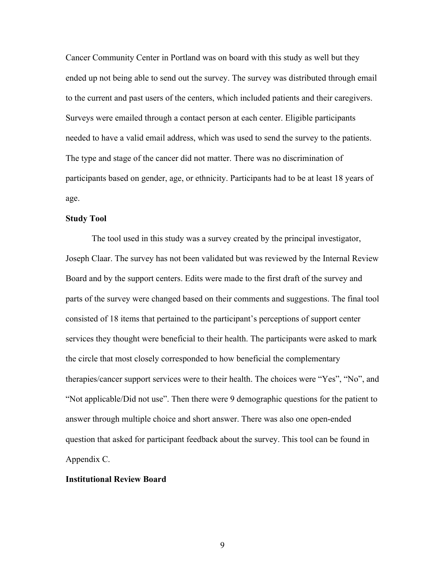Cancer Community Center in Portland was on board with this study as well but they ended up not being able to send out the survey. The survey was distributed through email to the current and past users of the centers, which included patients and their caregivers. Surveys were emailed through a contact person at each center. Eligible participants needed to have a valid email address, which was used to send the survey to the patients. The type and stage of the cancer did not matter. There was no discrimination of participants based on gender, age, or ethnicity. Participants had to be at least 18 years of age.

#### **Study Tool**

The tool used in this study was a survey created by the principal investigator, Joseph Claar. The survey has not been validated but was reviewed by the Internal Review Board and by the support centers. Edits were made to the first draft of the survey and parts of the survey were changed based on their comments and suggestions. The final tool consisted of 18 items that pertained to the participant's perceptions of support center services they thought were beneficial to their health. The participants were asked to mark the circle that most closely corresponded to how beneficial the complementary therapies/cancer support services were to their health. The choices were "Yes", "No", and "Not applicable/Did not use". Then there were 9 demographic questions for the patient to answer through multiple choice and short answer. There was also one open-ended question that asked for participant feedback about the survey. This tool can be found in Appendix C.

#### **Institutional Review Board**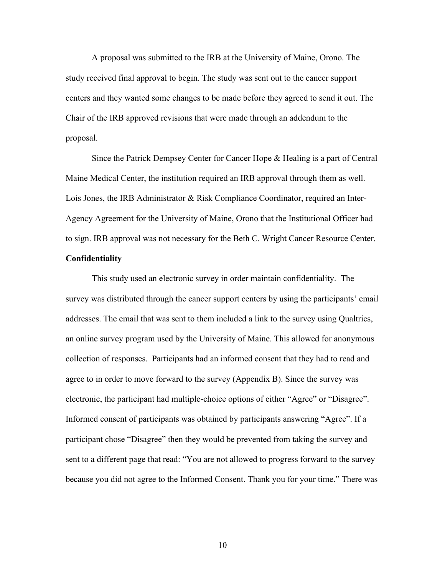A proposal was submitted to the IRB at the University of Maine, Orono. The study received final approval to begin. The study was sent out to the cancer support centers and they wanted some changes to be made before they agreed to send it out. The Chair of the IRB approved revisions that were made through an addendum to the proposal.

Since the Patrick Dempsey Center for Cancer Hope & Healing is a part of Central Maine Medical Center, the institution required an IRB approval through them as well. Lois Jones, the IRB Administrator & Risk Compliance Coordinator, required an Inter-Agency Agreement for the University of Maine, Orono that the Institutional Officer had to sign. IRB approval was not necessary for the Beth C. Wright Cancer Resource Center. **Confidentiality** 

This study used an electronic survey in order maintain confidentiality. The survey was distributed through the cancer support centers by using the participants' email addresses. The email that was sent to them included a link to the survey using Qualtrics, an online survey program used by the University of Maine. This allowed for anonymous collection of responses. Participants had an informed consent that they had to read and agree to in order to move forward to the survey (Appendix B). Since the survey was electronic, the participant had multiple-choice options of either "Agree" or "Disagree". Informed consent of participants was obtained by participants answering "Agree". If a participant chose "Disagree" then they would be prevented from taking the survey and sent to a different page that read: "You are not allowed to progress forward to the survey because you did not agree to the Informed Consent. Thank you for your time." There was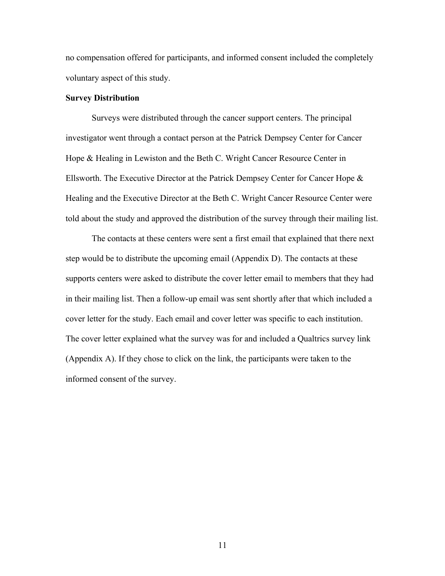no compensation offered for participants, and informed consent included the completely voluntary aspect of this study.

#### **Survey Distribution**

Surveys were distributed through the cancer support centers. The principal investigator went through a contact person at the Patrick Dempsey Center for Cancer Hope & Healing in Lewiston and the Beth C. Wright Cancer Resource Center in Ellsworth. The Executive Director at the Patrick Dempsey Center for Cancer Hope & Healing and the Executive Director at the Beth C. Wright Cancer Resource Center were told about the study and approved the distribution of the survey through their mailing list.

The contacts at these centers were sent a first email that explained that there next step would be to distribute the upcoming email (Appendix D). The contacts at these supports centers were asked to distribute the cover letter email to members that they had in their mailing list. Then a follow-up email was sent shortly after that which included a cover letter for the study. Each email and cover letter was specific to each institution. The cover letter explained what the survey was for and included a Qualtrics survey link (Appendix A). If they chose to click on the link, the participants were taken to the informed consent of the survey.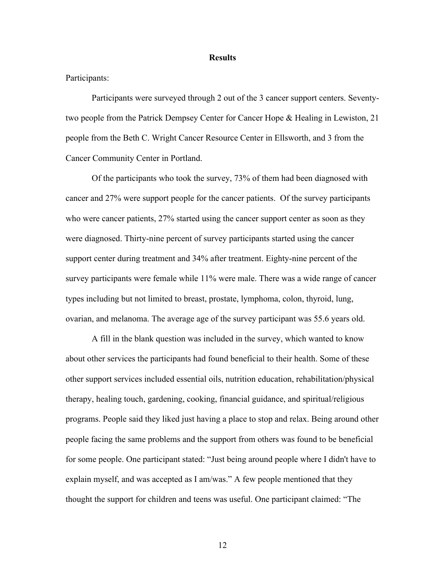#### **Results**

#### Participants:

Participants were surveyed through 2 out of the 3 cancer support centers. Seventytwo people from the Patrick Dempsey Center for Cancer Hope & Healing in Lewiston, 21 people from the Beth C. Wright Cancer Resource Center in Ellsworth, and 3 from the Cancer Community Center in Portland.

Of the participants who took the survey, 73% of them had been diagnosed with cancer and 27% were support people for the cancer patients. Of the survey participants who were cancer patients, 27% started using the cancer support center as soon as they were diagnosed. Thirty-nine percent of survey participants started using the cancer support center during treatment and 34% after treatment. Eighty-nine percent of the survey participants were female while 11% were male. There was a wide range of cancer types including but not limited to breast, prostate, lymphoma, colon, thyroid, lung, ovarian, and melanoma. The average age of the survey participant was 55.6 years old.

A fill in the blank question was included in the survey, which wanted to know about other services the participants had found beneficial to their health. Some of these other support services included essential oils, nutrition education, rehabilitation/physical therapy, healing touch, gardening, cooking, financial guidance, and spiritual/religious programs. People said they liked just having a place to stop and relax. Being around other people facing the same problems and the support from others was found to be beneficial for some people. One participant stated: "Just being around people where I didn't have to explain myself, and was accepted as I am/was." A few people mentioned that they thought the support for children and teens was useful. One participant claimed: "The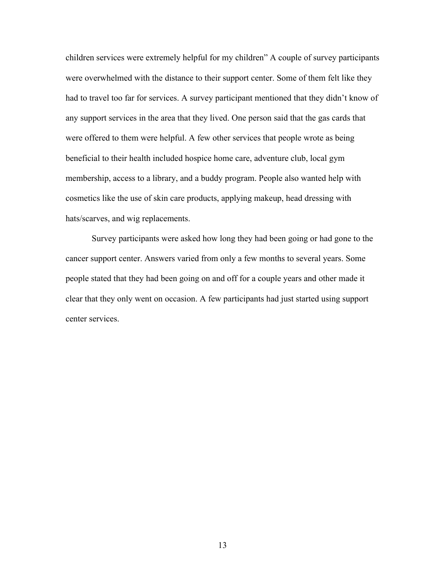children services were extremely helpful for my children" A couple of survey participants were overwhelmed with the distance to their support center. Some of them felt like they had to travel too far for services. A survey participant mentioned that they didn't know of any support services in the area that they lived. One person said that the gas cards that were offered to them were helpful. A few other services that people wrote as being beneficial to their health included hospice home care, adventure club, local gym membership, access to a library, and a buddy program. People also wanted help with cosmetics like the use of skin care products, applying makeup, head dressing with hats/scarves, and wig replacements.

Survey participants were asked how long they had been going or had gone to the cancer support center. Answers varied from only a few months to several years. Some people stated that they had been going on and off for a couple years and other made it clear that they only went on occasion. A few participants had just started using support center services.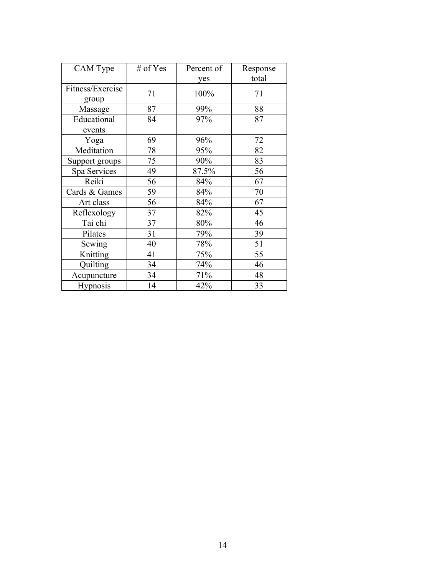| CAM Type                  | # of Yes | Percent of | Response |
|---------------------------|----------|------------|----------|
|                           |          | yes        | total    |
| Fitness/Exercise<br>group | 71       | 100%       | 71       |
| Massage                   | 87       | 99%        | 88       |
| Educational               | 84       | 97%        | 87       |
| events                    |          |            |          |
| Yoga                      | 69       | 96%        | 72       |
| Meditation                | 78       | 95%        | 82       |
| Support groups            | 75       | 90%        | 83       |
| Spa Services              | 49       | 87.5%      | 56       |
| Reiki                     | 56       | 84%        | 67       |
| Cards & Games             | 59       | 84%        | 70       |
| Art class                 | 56       | 84%        | 67       |
| Reflexology               | 37       | 82%        | 45       |
| Tai chi                   | 37       | 80%        | 46       |
| Pilates                   | 31       | 79%        | 39       |
| Sewing                    | 40       | 78%        | 51       |
| Knitting                  | 41       | 75%        | 55       |
| Quilting                  | 34       | 74%        | 46       |
| Acupuncture               | 34       | 71%        | 48       |
| <b>Hypnosis</b>           | 14       | 42%        | 33       |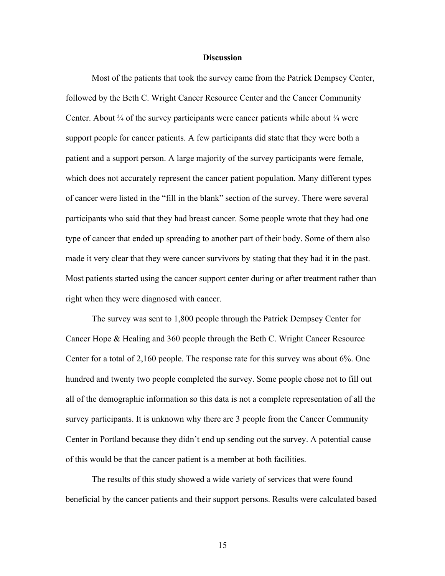#### **Discussion**

Most of the patients that took the survey came from the Patrick Dempsey Center, followed by the Beth C. Wright Cancer Resource Center and the Cancer Community Center. About  $\frac{3}{4}$  of the survey participants were cancer patients while about  $\frac{1}{4}$  were support people for cancer patients. A few participants did state that they were both a patient and a support person. A large majority of the survey participants were female, which does not accurately represent the cancer patient population. Many different types of cancer were listed in the "fill in the blank" section of the survey. There were several participants who said that they had breast cancer. Some people wrote that they had one type of cancer that ended up spreading to another part of their body. Some of them also made it very clear that they were cancer survivors by stating that they had it in the past. Most patients started using the cancer support center during or after treatment rather than right when they were diagnosed with cancer.

The survey was sent to 1,800 people through the Patrick Dempsey Center for Cancer Hope & Healing and 360 people through the Beth C. Wright Cancer Resource Center for a total of 2,160 people. The response rate for this survey was about 6%. One hundred and twenty two people completed the survey. Some people chose not to fill out all of the demographic information so this data is not a complete representation of all the survey participants. It is unknown why there are 3 people from the Cancer Community Center in Portland because they didn't end up sending out the survey. A potential cause of this would be that the cancer patient is a member at both facilities.

The results of this study showed a wide variety of services that were found beneficial by the cancer patients and their support persons. Results were calculated based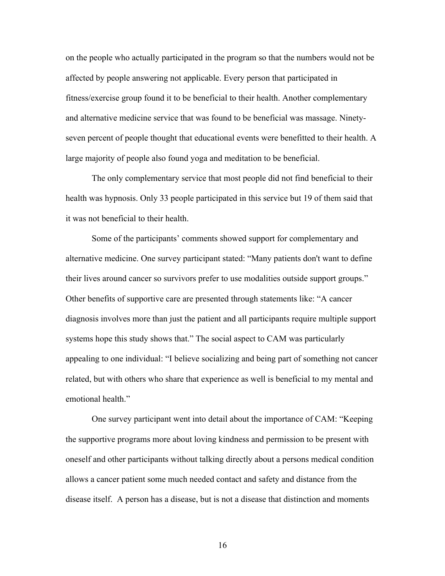on the people who actually participated in the program so that the numbers would not be affected by people answering not applicable. Every person that participated in fitness/exercise group found it to be beneficial to their health. Another complementary and alternative medicine service that was found to be beneficial was massage. Ninetyseven percent of people thought that educational events were benefitted to their health. A large majority of people also found yoga and meditation to be beneficial.

The only complementary service that most people did not find beneficial to their health was hypnosis. Only 33 people participated in this service but 19 of them said that it was not beneficial to their health.

Some of the participants' comments showed support for complementary and alternative medicine. One survey participant stated: "Many patients don't want to define their lives around cancer so survivors prefer to use modalities outside support groups." Other benefits of supportive care are presented through statements like: "A cancer diagnosis involves more than just the patient and all participants require multiple support systems hope this study shows that." The social aspect to CAM was particularly appealing to one individual: "I believe socializing and being part of something not cancer related, but with others who share that experience as well is beneficial to my mental and emotional health."

One survey participant went into detail about the importance of CAM: "Keeping the supportive programs more about loving kindness and permission to be present with oneself and other participants without talking directly about a persons medical condition allows a cancer patient some much needed contact and safety and distance from the disease itself. A person has a disease, but is not a disease that distinction and moments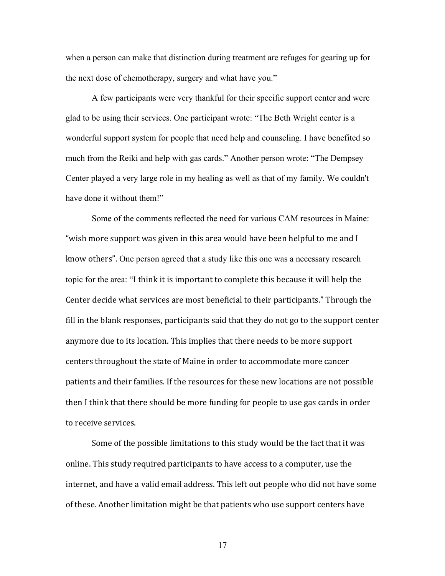when a person can make that distinction during treatment are refuges for gearing up for the next dose of chemotherapy, surgery and what have you."

A few participants were very thankful for their specific support center and were glad to be using their services. One participant wrote: "The Beth Wright center is a wonderful support system for people that need help and counseling. I have benefited so much from the Reiki and help with gas cards." Another person wrote: "The Dempsey Center played a very large role in my healing as well as that of my family. We couldn't have done it without them!"

Some of the comments reflected the need for various CAM resources in Maine: "wish more support was given in this area would have been helpful to me and I know others". One person agreed that a study like this one was a necessary research topic for the area: "I think it is important to complete this because it will help the Center decide what services are most beneficial to their participants." Through the fill in the blank responses, participants said that they do not go to the support center anymore due to its location. This implies that there needs to be more support centers throughout the state of Maine in order to accommodate more cancer patients and their families. If the resources for these new locations are not possible then I think that there should be more funding for people to use gas cards in order to receive services.

Some of the possible limitations to this study would be the fact that it was online. This study required participants to have access to a computer, use the internet, and have a valid email address. This left out people who did not have some of these. Another limitation might be that patients who use support centers have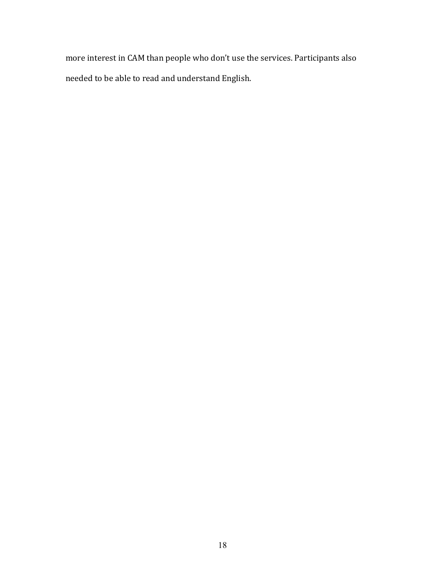more interest in CAM than people who don't use the services. Participants also needed to be able to read and understand English.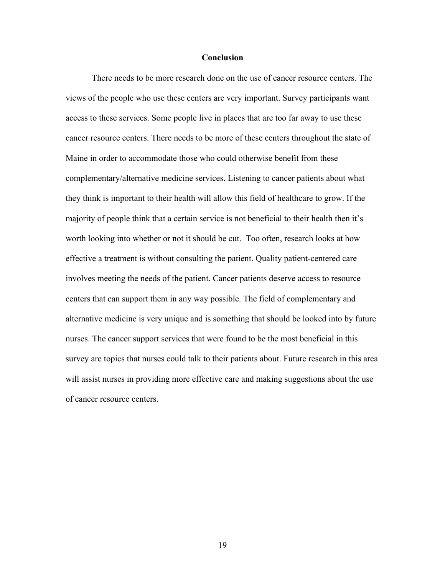#### **Conclusion**

There needs to be more research done on the use of cancer resource centers. The views of the people who use these centers are very important. Survey participants want access to these services. Some people live in places that are too far away to use these cancer resource centers. There needs to be more of these centers throughout the state of Maine in order to accommodate those who could otherwise benefit from these complementary/alternative medicine services. Listening to cancer patients about what they think is important to their health will allow this field of healthcare to grow. If the majority of people think that a certain service is not beneficial to their health then it's worth looking into whether or not it should be cut. Too often, research looks at how effective a treatment is without consulting the patient. Quality patient-centered care involves meeting the needs of the patient. Cancer patients deserve access to resource centers that can support them in any way possible. The field of complementary and alternative medicine is very unique and is something that should be looked into by future nurses. The cancer support services that were found to be the most beneficial in this survey are topics that nurses could talk to their patients about. Future research in this area will assist nurses in providing more effective care and making suggestions about the use of cancer resource centers.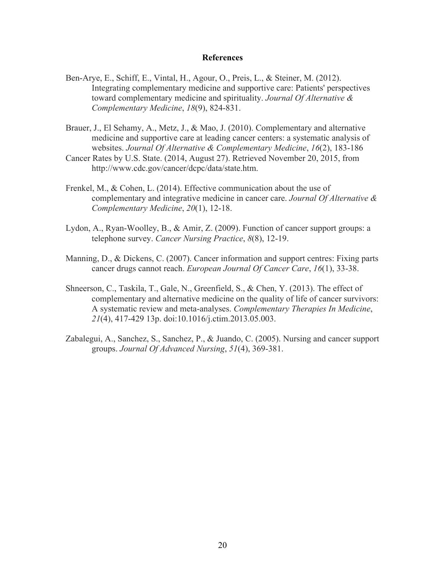#### **References**

- Ben-Arye, E., Schiff, E., Vintal, H., Agour, O., Preis, L., & Steiner, M. (2012). Integrating complementary medicine and supportive care: Patients' perspectives toward complementary medicine and spirituality. *Journal Of Alternative & Complementary Medicine*, *18*(9), 824-831.
- Brauer, J., El Sehamy, A., Metz, J., & Mao, J. (2010). Complementary and alternative medicine and supportive care at leading cancer centers: a systematic analysis of websites. *Journal Of Alternative & Complementary Medicine*, *16*(2), 183-186
- Cancer Rates by U.S. State. (2014, August 27). Retrieved November 20, 2015, from http://www.cdc.gov/cancer/dcpc/data/state.htm.
- Frenkel, M., & Cohen, L. (2014). Effective communication about the use of complementary and integrative medicine in cancer care. *Journal Of Alternative & Complementary Medicine*, *20*(1), 12-18.
- Lydon, A., Ryan-Woolley, B., & Amir, Z. (2009). Function of cancer support groups: a telephone survey. *Cancer Nursing Practice*, *8*(8), 12-19.
- Manning, D., & Dickens, C. (2007). Cancer information and support centres: Fixing parts cancer drugs cannot reach. *European Journal Of Cancer Care*, *16*(1), 33-38.
- Shneerson, C., Taskila, T., Gale, N., Greenfield, S., & Chen, Y. (2013). The effect of complementary and alternative medicine on the quality of life of cancer survivors: A systematic review and meta-analyses. *Complementary Therapies In Medicine*, *21*(4), 417-429 13p. doi:10.1016/j.ctim.2013.05.003.
- Zabalegui, A., Sanchez, S., Sanchez, P., & Juando, C. (2005). Nursing and cancer support groups. *Journal Of Advanced Nursing*, *51*(4), 369-381.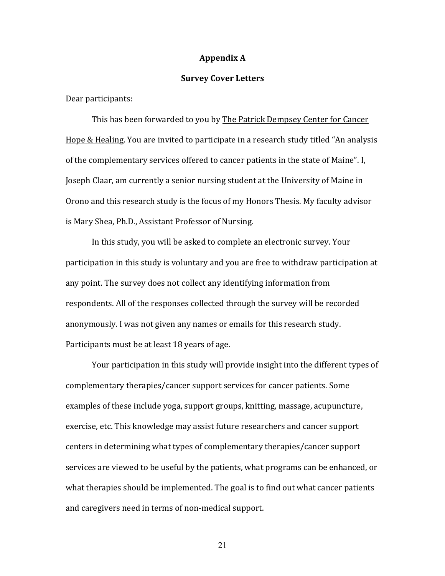#### **Appendix A**

#### **Survey Cover Letters**

Dear participants:

This has been forwarded to you by The Patrick Dempsey Center for Cancer Hope & Healing. You are invited to participate in a research study titled "An analysis of the complementary services offered to cancer patients in the state of Maine". I, Joseph Claar, am currently a senior nursing student at the University of Maine in Orono and this research study is the focus of my Honors Thesis. My faculty advisor is Mary Shea, Ph.D., Assistant Professor of Nursing.

In this study, you will be asked to complete an electronic survey. Your participation in this study is voluntary and you are free to withdraw participation at any point. The survey does not collect any identifying information from respondents. All of the responses collected through the survey will be recorded anonymously. I was not given any names or emails for this research study. Participants must be at least 18 years of age.

Your participation in this study will provide insight into the different types of complementary therapies/cancer support services for cancer patients. Some examples of these include yoga, support groups, knitting, massage, acupuncture, exercise, etc. This knowledge may assist future researchers and cancer support centers in determining what types of complementary therapies/cancer support services are viewed to be useful by the patients, what programs can be enhanced, or what therapies should be implemented. The goal is to find out what cancer patients and caregivers need in terms of non-medical support.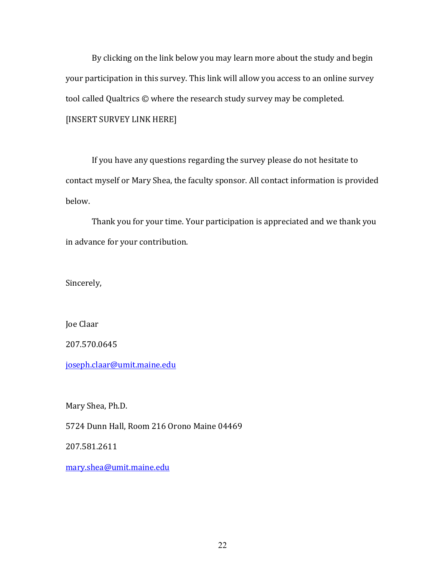By clicking on the link below you may learn more about the study and begin your participation in this survey. This link will allow you access to an online survey tool called Qualtrics  $\odot$  where the research study survey may be completed. [INSERT SURVEY LINK HERE]

If you have any questions regarding the survey please do not hesitate to contact myself or Mary Shea, the faculty sponsor. All contact information is provided below. 

Thank you for your time. Your participation is appreciated and we thank you in advance for your contribution.

Sincerely, 

Joe Claar

207.570.0645

joseph.claar@umit.maine.edu

Mary Shea, Ph.D.

5724 Dunn Hall, Room 216 Orono Maine 04469

207.581.2611

mary.shea@umit.maine.edu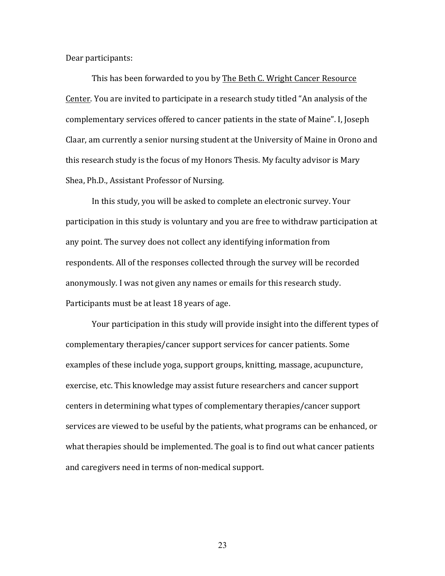Dear participants:

This has been forwarded to you by The Beth C. Wright Cancer Resource Center. You are invited to participate in a research study titled "An analysis of the complementary services offered to cancer patients in the state of Maine". I, Joseph Claar, am currently a senior nursing student at the University of Maine in Orono and this research study is the focus of my Honors Thesis. My faculty advisor is Mary Shea, Ph.D., Assistant Professor of Nursing.

In this study, you will be asked to complete an electronic survey. Your participation in this study is voluntary and you are free to withdraw participation at any point. The survey does not collect any identifying information from respondents. All of the responses collected through the survey will be recorded anonymously. I was not given any names or emails for this research study. Participants must be at least 18 years of age.

Your participation in this study will provide insight into the different types of complementary therapies/cancer support services for cancer patients. Some examples of these include yoga, support groups, knitting, massage, acupuncture, exercise, etc. This knowledge may assist future researchers and cancer support centers in determining what types of complementary therapies/cancer support services are viewed to be useful by the patients, what programs can be enhanced, or what therapies should be implemented. The goal is to find out what cancer patients and caregivers need in terms of non-medical support.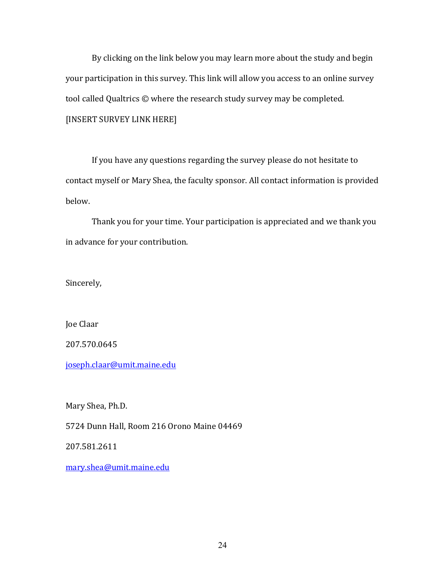By clicking on the link below you may learn more about the study and begin your participation in this survey. This link will allow you access to an online survey tool called Qualtrics  $\odot$  where the research study survey may be completed. [INSERT SURVEY LINK HERE]

If you have any questions regarding the survey please do not hesitate to contact myself or Mary Shea, the faculty sponsor. All contact information is provided below. 

Thank you for your time. Your participation is appreciated and we thank you in advance for your contribution.

Sincerely, 

Joe Claar

207.570.0645

joseph.claar@umit.maine.edu

Mary Shea, Ph.D.

5724 Dunn Hall, Room 216 Orono Maine 04469

207.581.2611

mary.shea@umit.maine.edu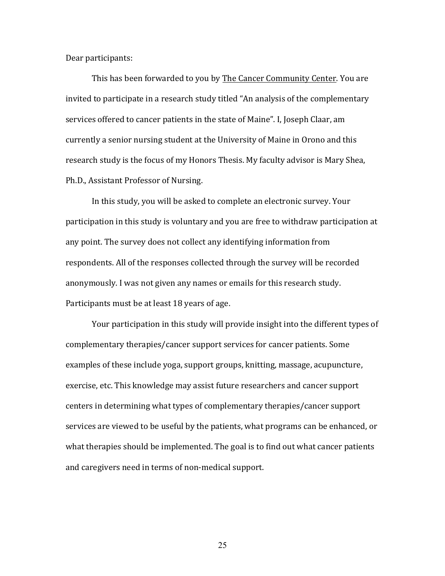Dear participants:

This has been forwarded to you by The Cancer Community Center. You are invited to participate in a research study titled "An analysis of the complementary services offered to cancer patients in the state of Maine". I, Joseph Claar, am currently a senior nursing student at the University of Maine in Orono and this research study is the focus of my Honors Thesis. My faculty advisor is Mary Shea, Ph.D., Assistant Professor of Nursing.

In this study, you will be asked to complete an electronic survey. Your participation in this study is voluntary and you are free to withdraw participation at any point. The survey does not collect any identifying information from respondents. All of the responses collected through the survey will be recorded anonymously. I was not given any names or emails for this research study. Participants must be at least 18 years of age.

Your participation in this study will provide insight into the different types of complementary therapies/cancer support services for cancer patients. Some examples of these include yoga, support groups, knitting, massage, acupuncture, exercise, etc. This knowledge may assist future researchers and cancer support centers in determining what types of complementary therapies/cancer support services are viewed to be useful by the patients, what programs can be enhanced, or what therapies should be implemented. The goal is to find out what cancer patients and caregivers need in terms of non-medical support.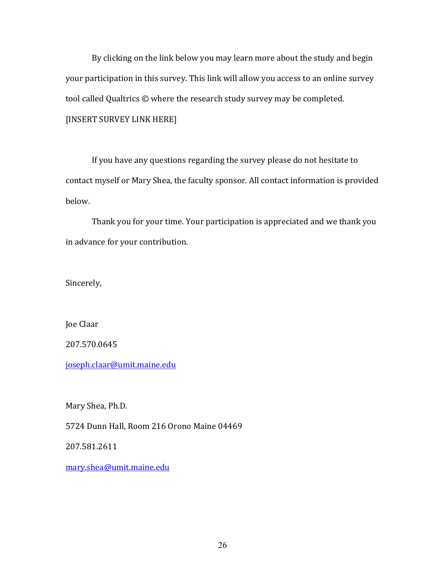By clicking on the link below you may learn more about the study and begin your participation in this survey. This link will allow you access to an online survey tool called Qualtrics  $\odot$  where the research study survey may be completed. [INSERT SURVEY LINK HERE]

If you have any questions regarding the survey please do not hesitate to contact myself or Mary Shea, the faculty sponsor. All contact information is provided below. 

Thank you for your time. Your participation is appreciated and we thank you in advance for your contribution.

Sincerely, 

Joe Claar

207.570.0645

joseph.claar@umit.maine.edu

Mary Shea, Ph.D.

5724 Dunn Hall, Room 216 Orono Maine 04469

207.581.2611

mary.shea@umit.maine.edu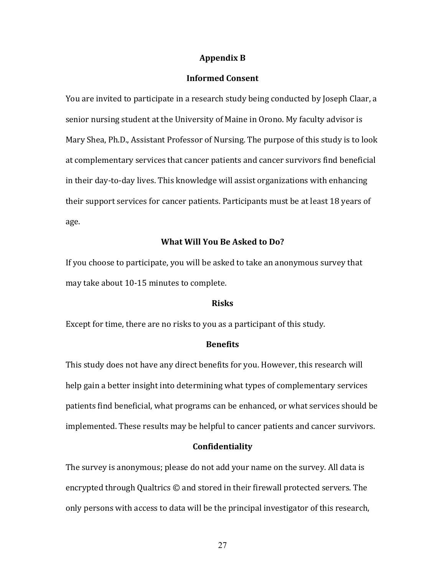#### **Appendix B**

# **Informed Consent**

You are invited to participate in a research study being conducted by Joseph Claar, a senior nursing student at the University of Maine in Orono. My faculty advisor is Mary Shea, Ph.D., Assistant Professor of Nursing. The purpose of this study is to look at complementary services that cancer patients and cancer survivors find beneficial in their day-to-day lives. This knowledge will assist organizations with enhancing their support services for cancer patients. Participants must be at least 18 years of age.

## **What Will You Be Asked to Do?**

If you choose to participate, you will be asked to take an anonymous survey that may take about 10-15 minutes to complete.

#### **Risks**

Except for time, there are no risks to you as a participant of this study.

## **Benefits**

This study does not have any direct benefits for you. However, this research will help gain a better insight into determining what types of complementary services patients find beneficial, what programs can be enhanced, or what services should be implemented. These results may be helpful to cancer patients and cancer survivors.

#### **Confidentiality**

The survey is anonymous; please do not add your name on the survey. All data is encrypted through Qualtrics  $\odot$  and stored in their firewall protected servers. The only persons with access to data will be the principal investigator of this research,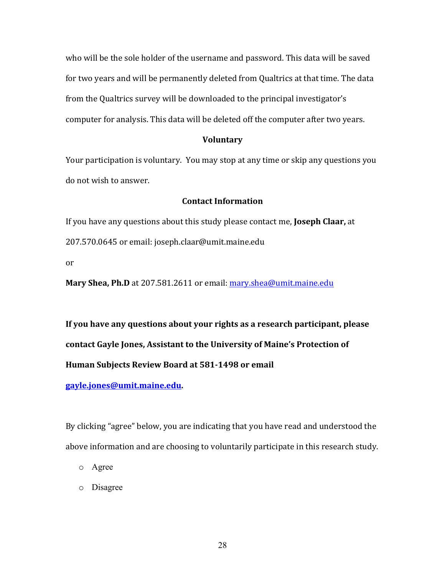who will be the sole holder of the username and password. This data will be saved for two years and will be permanently deleted from Qualtrics at that time. The data from the Qualtrics survey will be downloaded to the principal investigator's computer for analysis. This data will be deleted off the computer after two years.

# **Voluntary**

Your participation is voluntary. You may stop at any time or skip any questions you do not wish to answer.

# **Contact Information**

If you have any questions about this study please contact me, **Joseph Claar**, at 207.570.0645 or email: joseph.claar@umit.maine.edu

or

**Mary Shea, Ph.D** at 207.581.2611 or email: **mary.shea@umit.maine.edu** 

If you have any questions about your rights as a research participant, please contact Gayle Jones, Assistant to the University of Maine's Protection of **Human Subjects Review Board at 581-1498 or email** 

**gayle.jones@umit.maine.edu.** 

By clicking "agree" below, you are indicating that you have read and understood the above information and are choosing to voluntarily participate in this research study.

o Agree

o Disagree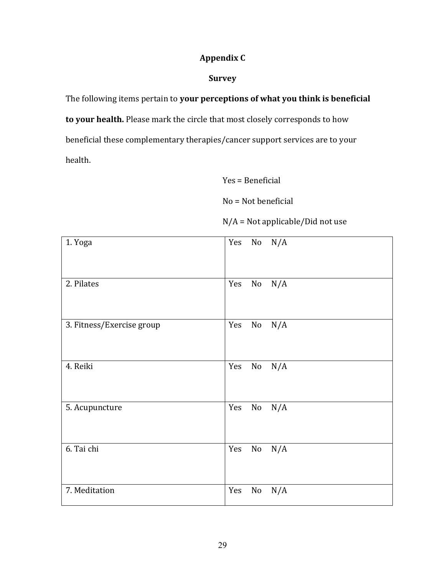# **Appendix C**

# **Survey**

The following items pertain to your perceptions of what you think is beneficial

to your health. Please mark the circle that most closely corresponds to how beneficial these complementary therapies/cancer support services are to your health.

 $Yes = Benedict$ 

 $No = Not beneficial$ 

 $N/A$  = Not applicable/Did not use

| 1. Yoga                   | Yes $No$ $N/A$         |
|---------------------------|------------------------|
| 2. Pilates                | Yes<br>No<br>N/A       |
| 3. Fitness/Exercise group | Yes<br>No<br>N/A       |
| 4. Reiki                  | Yes<br>$\rm No$<br>N/A |
| 5. Acupuncture            | Yes<br>No<br>N/A       |
| 6. Tai chi                | Yes<br>$\rm No$<br>N/A |
| 7. Meditation             | Yes<br>$\rm No$<br>N/A |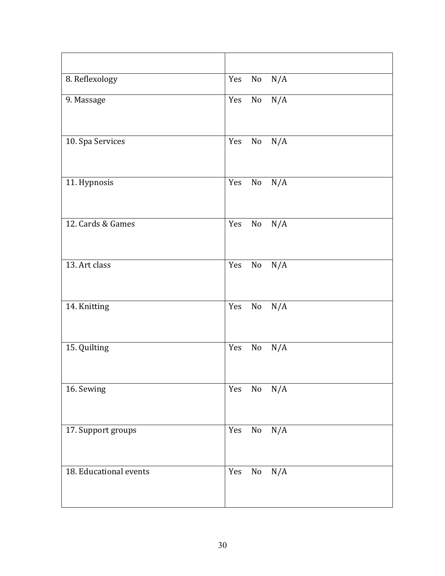| 8. Reflexology         | N/A<br>Yes No          |
|------------------------|------------------------|
| 9. Massage             | Yes No N/A             |
| 10. Spa Services       | Yes<br>No<br>N/A       |
| 11. Hypnosis           | Yes<br>$\rm No$<br>N/A |
| 12. Cards & Games      | Yes<br>N/A<br>No       |
| 13. Art class          | N/A<br>Yes<br>$\rm No$ |
| 14. Knitting           | $\rm No$<br>N/A<br>Yes |
| 15. Quilting           | N/A<br>Yes<br>No       |
| 16. Sewing             | $\rm No$<br>N/A<br>Yes |
| 17. Support groups     | Yes<br>N/A<br>No       |
| 18. Educational events | Yes<br>$\rm No$<br>N/A |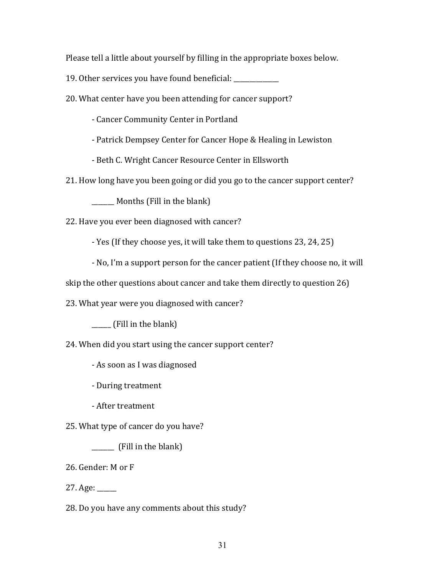Please tell a little about yourself by filling in the appropriate boxes below.

19. Other services you have found beneficial:

20. What center have you been attending for cancer support?

- Cancer Community Center in Portland
- Patrick Dempsey Center for Cancer Hope & Healing in Lewiston
- Beth C. Wright Cancer Resource Center in Ellsworth

21. How long have you been going or did you go to the cancer support center?

\_\_\_\_\_\_ Months (Fill in the blank)

22. Have you ever been diagnosed with cancer?

- Yes (If they choose yes, it will take them to questions 23, 24, 25)
- No, I'm a support person for the cancer patient (If they choose no, it will

skip the other questions about cancer and take them directly to question 26)

23. What year were you diagnosed with cancer?

 $\frac{1}{\sqrt{1-\frac{1}{\sqrt{1-\frac{1}{\sqrt{1-\frac{1}{\sqrt{1-\frac{1}{\sqrt{1-\frac{1}{\sqrt{1-\frac{1}{\sqrt{1-\frac{1}{\sqrt{1-\frac{1}{\sqrt{1-\frac{1}{\sqrt{1-\frac{1}{\sqrt{1-\frac{1}{\sqrt{1-\frac{1}{\sqrt{1-\frac{1}{\sqrt{1-\frac{1}{\sqrt{1-\frac{1}{\sqrt{1-\frac{1}{\sqrt{1-\frac{1}{\sqrt{1-\frac{1}{\sqrt{1-\frac{1}{\sqrt{1-\frac{1}{\sqrt{1-\frac{1}{\sqrt{1-\frac{1}{\sqrt{1-\frac{1}{\sqrt{1-\frac{1$ 

24. When did you start using the cancer support center?

- As soon as I was diagnosed

- During treatment

- After treatment

25. What type of cancer do you have?

 $\frac{1}{\sqrt{1-\frac{1}{\sqrt{1-\frac{1}{\sqrt{1-\frac{1}{\sqrt{1-\frac{1}{\sqrt{1-\frac{1}{\sqrt{1-\frac{1}{\sqrt{1-\frac{1}{\sqrt{1-\frac{1}{\sqrt{1-\frac{1}{\sqrt{1-\frac{1}{\sqrt{1-\frac{1}{\sqrt{1-\frac{1}{\sqrt{1-\frac{1}{\sqrt{1-\frac{1}{\sqrt{1-\frac{1}{\sqrt{1-\frac{1}{\sqrt{1-\frac{1}{\sqrt{1-\frac{1}{\sqrt{1-\frac{1}{\sqrt{1-\frac{1}{\sqrt{1-\frac{1}{\sqrt{1-\frac{1}{\sqrt{1-\frac{1}{\sqrt{1-\frac{1$ 

26. Gender: M or F

 $27. \text{Age:}$ 

28. Do you have any comments about this study?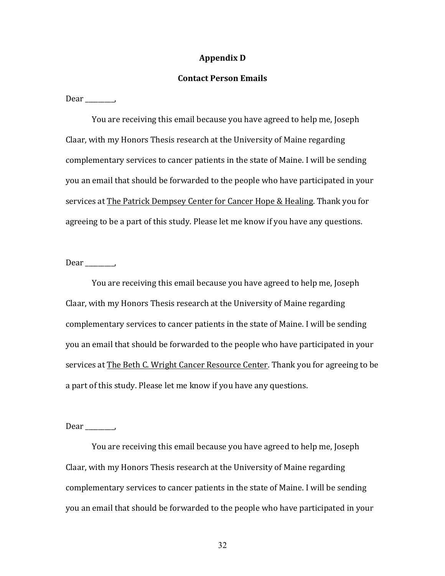#### **Appendix D**

## **Contact Person Emails**

 $Dear$ <sub>\_\_\_\_\_\_</sub>,

You are receiving this email because you have agreed to help me, Joseph Claar, with my Honors Thesis research at the University of Maine regarding complementary services to cancer patients in the state of Maine. I will be sending you an email that should be forwarded to the people who have participated in your services at The Patrick Dempsey Center for Cancer Hope & Healing. Thank you for agreeing to be a part of this study. Please let me know if you have any questions.

#### $Dear$ <sub>\_\_\_\_\_\_</sub>,

You are receiving this email because you have agreed to help me, Joseph Claar, with my Honors Thesis research at the University of Maine regarding complementary services to cancer patients in the state of Maine. I will be sending you an email that should be forwarded to the people who have participated in your services at The Beth C. Wright Cancer Resource Center. Thank you for agreeing to be a part of this study. Please let me know if you have any questions.

 $Dear$  \_\_\_\_\_\_\_\_,

You are receiving this email because you have agreed to help me, Joseph Claar, with my Honors Thesis research at the University of Maine regarding complementary services to cancer patients in the state of Maine. I will be sending you an email that should be forwarded to the people who have participated in your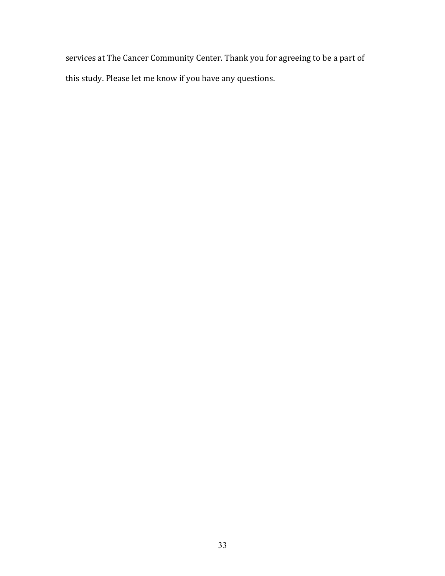services at The Cancer Community Center. Thank you for agreeing to be a part of this study. Please let me know if you have any questions.